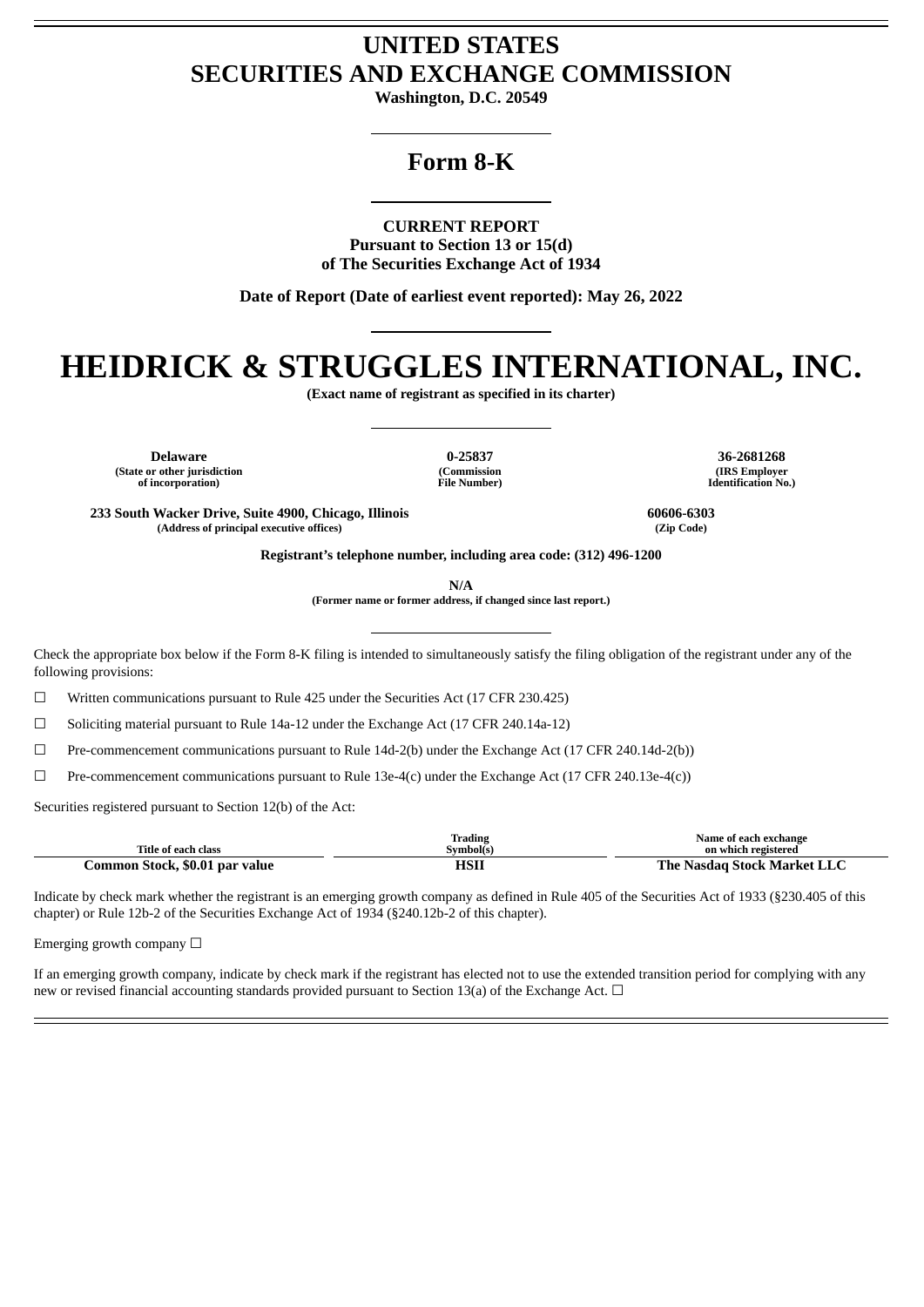## **UNITED STATES SECURITIES AND EXCHANGE COMMISSION**

**Washington, D.C. 20549**

## **Form 8-K**

**CURRENT REPORT**

**Pursuant to Section 13 or 15(d) of The Securities Exchange Act of 1934**

**Date of Report (Date of earliest event reported): May 26, 2022**

# **HEIDRICK & STRUGGLES INTERNATIONAL, INC.**

**(Exact name of registrant as specified in its charter)**

**Delaware 0-25837 36-2681268 (State or other jurisdiction of incorporation)**

**(Commission File Number)**

**(IRS Employer Identification No.)**

**233 South Wacker Drive, Suite 4900, Chicago, Illinois 60606-6303 (Address of principal executive offices) (Zip Code)**

**Registrant's telephone number, including area code: (312) 496-1200**

**N/A**

**(Former name or former address, if changed since last report.)**

Check the appropriate box below if the Form 8-K filing is intended to simultaneously satisfy the filing obligation of the registrant under any of the following provisions:

☐ Written communications pursuant to Rule 425 under the Securities Act (17 CFR 230.425)

 $\Box$  Soliciting material pursuant to Rule 14a-12 under the Exchange Act (17 CFR 240.14a-12)

☐ Pre-commencement communications pursuant to Rule 14d-2(b) under the Exchange Act (17 CFR 240.14d-2(b))

 $\Box$  Pre-commencement communications pursuant to Rule 13e-4(c) under the Exchange Act (17 CFR 240.13e-4(c))

Securities registered pursuant to Section 12(b) of the Act:

| Title of each class            | Trading<br>Symbol(s) | Name of each exchange<br>on which registered |
|--------------------------------|----------------------|----------------------------------------------|
| Common Stock, \$0.01 par value | HSI                  | The Nasdag Stock Market LLC                  |

Indicate by check mark whether the registrant is an emerging growth company as defined in Rule 405 of the Securities Act of 1933 (§230.405 of this chapter) or Rule 12b-2 of the Securities Exchange Act of 1934 (§240.12b-2 of this chapter).

Emerging growth company  $\Box$ 

If an emerging growth company, indicate by check mark if the registrant has elected not to use the extended transition period for complying with any new or revised financial accounting standards provided pursuant to Section 13(a) of the Exchange Act.  $\Box$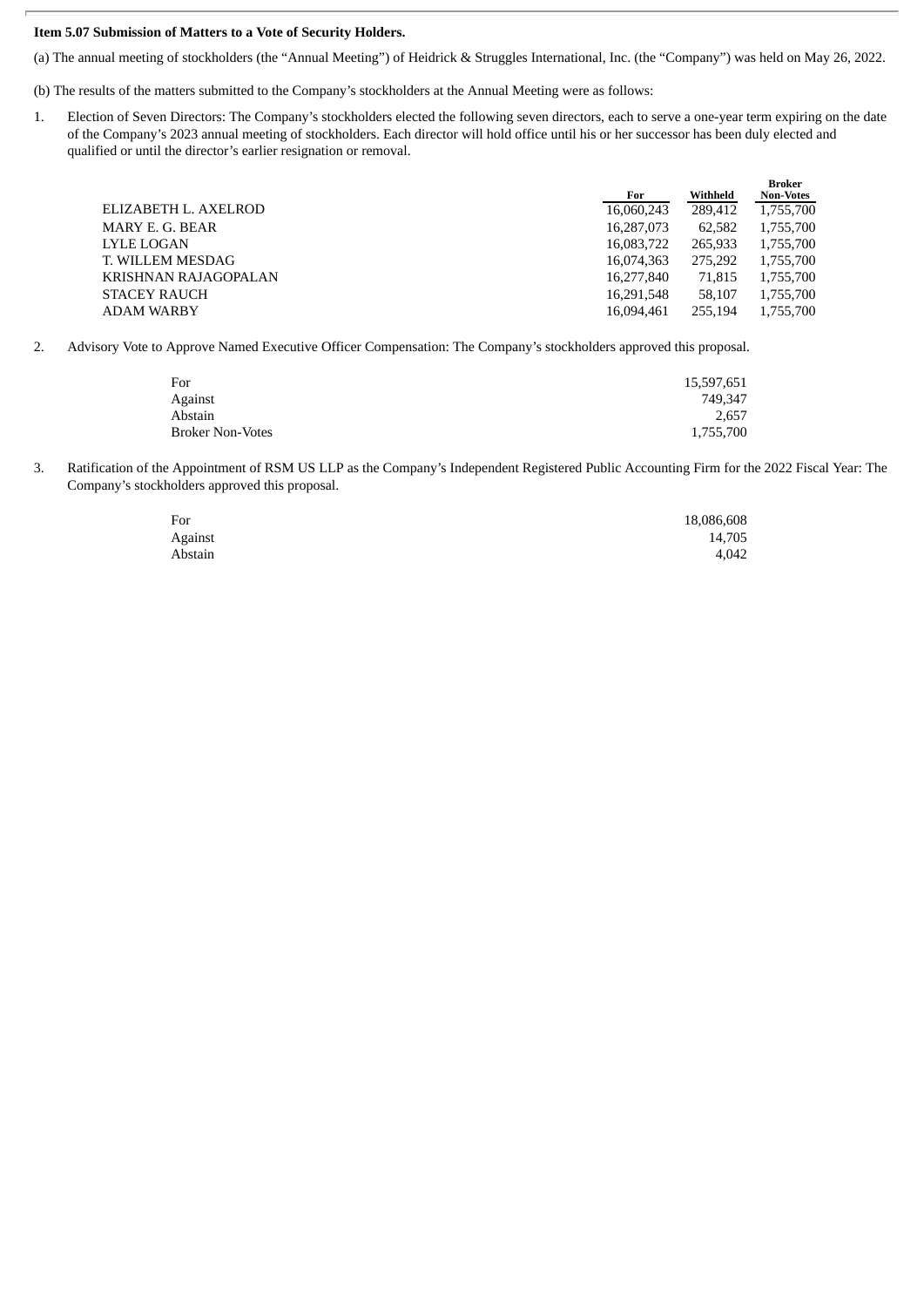#### **Item 5.07 Submission of Matters to a Vote of Security Holders.**

(a) The annual meeting of stockholders (the "Annual Meeting") of Heidrick & Struggles International, Inc. (the "Company") was held on May 26, 2022.

(b) The results of the matters submitted to the Company's stockholders at the Annual Meeting were as follows:

1. Election of Seven Directors: The Company's stockholders elected the following seven directors, each to serve a one-year term expiring on the date of the Company's 2023 annual meeting of stockholders. Each director will hold office until his or her successor has been duly elected and qualified or until the director's earlier resignation or removal.

|                      |            |          | <b>Broker</b>    |
|----------------------|------------|----------|------------------|
|                      | For        | Withheld | <b>Non-Votes</b> |
| ELIZABETH L. AXELROD | 16,060,243 | 289,412  | 1,755,700        |
| MARY E. G. BEAR      | 16,287,073 | 62,582   | 1,755,700        |
| LYLE LOGAN           | 16,083,722 | 265.933  | 1,755,700        |
| T. WILLEM MESDAG     | 16,074,363 | 275.292  | 1,755,700        |
| KRISHNAN RAJAGOPALAN | 16.277.840 | 71.815   | 1,755,700        |
| <b>STACEY RAUCH</b>  | 16.291.548 | 58.107   | 1,755,700        |
| ADAM WARBY           | 16.094.461 | 255,194  | 1,755,700        |
|                      |            |          |                  |

2. Advisory Vote to Approve Named Executive Officer Compensation: The Company's stockholders approved this proposal.

| For                     | 15,597,651 |
|-------------------------|------------|
| Against                 | 749.347    |
| Abstain                 | 2.657      |
| <b>Broker Non-Votes</b> | 1,755,700  |

3. Ratification of the Appointment of RSM US LLP as the Company's Independent Registered Public Accounting Firm for the 2022 Fiscal Year: The Company's stockholders approved this proposal.

| For     | 18,086,608 |
|---------|------------|
| Against | 14,705     |
| Abstain | 4.042      |